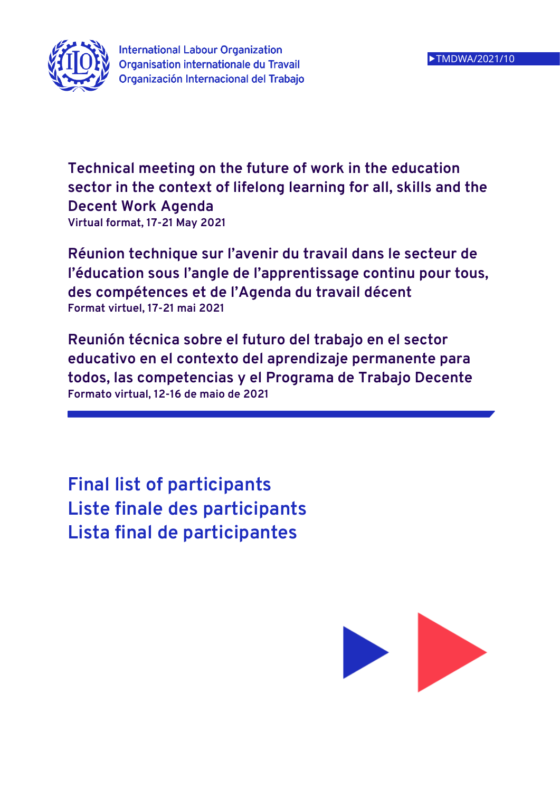

**International Labour Organization Organisation internationale du Travail** Organización Internacional del Trabajo

**Technical meeting on the future of work in the education sector in the context of lifelong learning for all, skills and the Decent Work Agenda Virtual format, 17-21 May 2021**

**Réunion technique sur l'avenir du travail dans le secteur de l'éducation sous l'angle de l'apprentissage continu pour tous, des compétences et de l'Agenda du travail décent Format virtuel, 17-21 mai 2021**

**Reunión técnica sobre el futuro del trabajo en el sector educativo en el contexto del aprendizaje permanente para todos, las competencias y el Programa de Trabajo Decente Formato virtual, 12-16 de maio de 2021**

**Final list of participants Liste finale des participants Lista final de participantes**

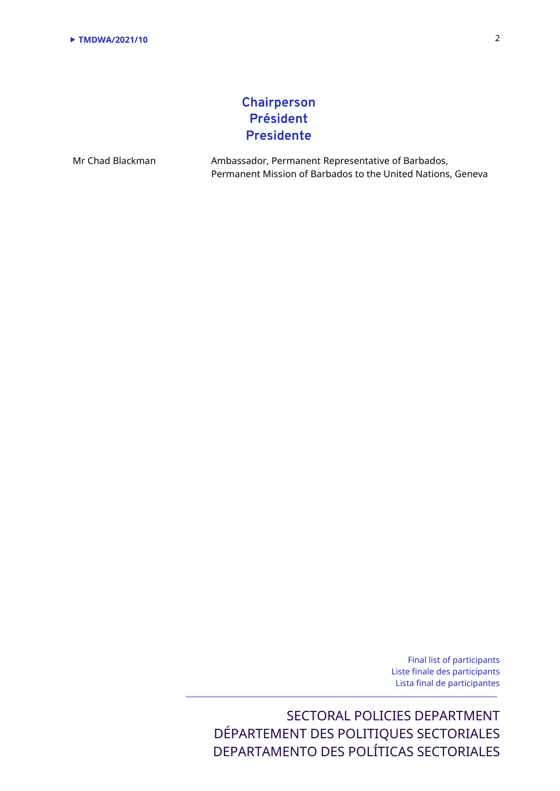# **Chairperson Président Presidente**

Mr Chad Blackman Ambassador, Permanent Representative of Barbados, Permanent Mission of Barbados to the United Nations, Geneva

> Final list of participants Liste finale des participants Lista final de participantes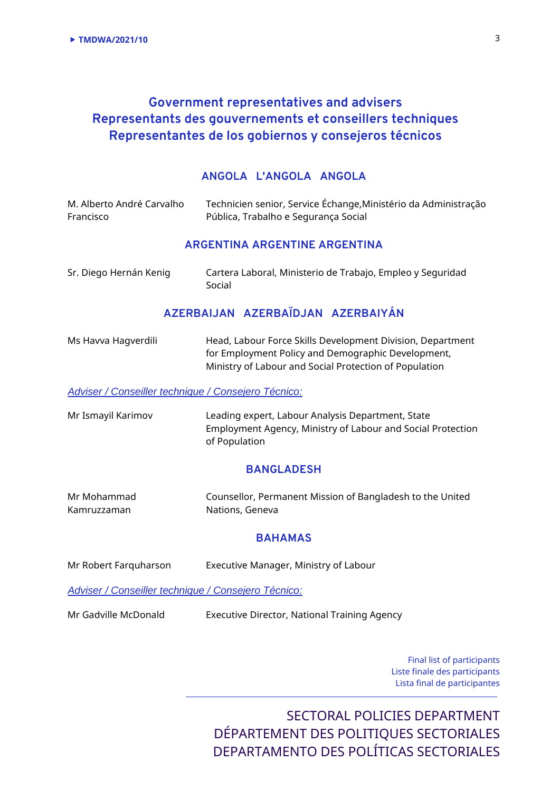# **Government representatives and advisers Representants des gouvernements et conseillers techniques Representantes de los gobiernos y consejeros técnicos**

### **ANGOLA L'ANGOLA ANGOLA**

| M. Alberto André Carvalho<br>Francisco                     | Technicien senior, Service Échange, Ministério da Administração<br>Pública, Trabalho e Segurança Social                                                                    |
|------------------------------------------------------------|----------------------------------------------------------------------------------------------------------------------------------------------------------------------------|
|                                                            | <b>ARGENTINA ARGENTINE ARGENTINA</b>                                                                                                                                       |
| Sr. Diego Hernán Kenig                                     | Cartera Laboral, Ministerio de Trabajo, Empleo y Seguridad<br>Social                                                                                                       |
|                                                            | AZERBAIJAN AZERBAÏDJAN AZERBAIYÁN                                                                                                                                          |
| Ms Havva Hagverdili                                        | Head, Labour Force Skills Development Division, Department<br>for Employment Policy and Demographic Development,<br>Ministry of Labour and Social Protection of Population |
| <b>Adviser / Conseiller technique / Consejero Técnico:</b> |                                                                                                                                                                            |

Mr Ismayil Karimov Leading expert, Labour Analysis Department, State Employment Agency, Ministry of Labour and Social Protection of Population

### **BANGLADESH**

| Mr Mohammad | Counsellor, Permanent Mission of Bangladesh to the United |
|-------------|-----------------------------------------------------------|
| Kamruzzaman | Nations, Geneva                                           |

#### **BAHAMAS**

| Mr Robert Farquharson | Executive Manager, Ministry of Labour |
|-----------------------|---------------------------------------|
|                       |                                       |

*Adviser / Conseiller technique / Consejero Técnico:*

Mr Gadville McDonald Executive Director, National Training Agency

Final list of participants Liste finale des participants Lista final de participantes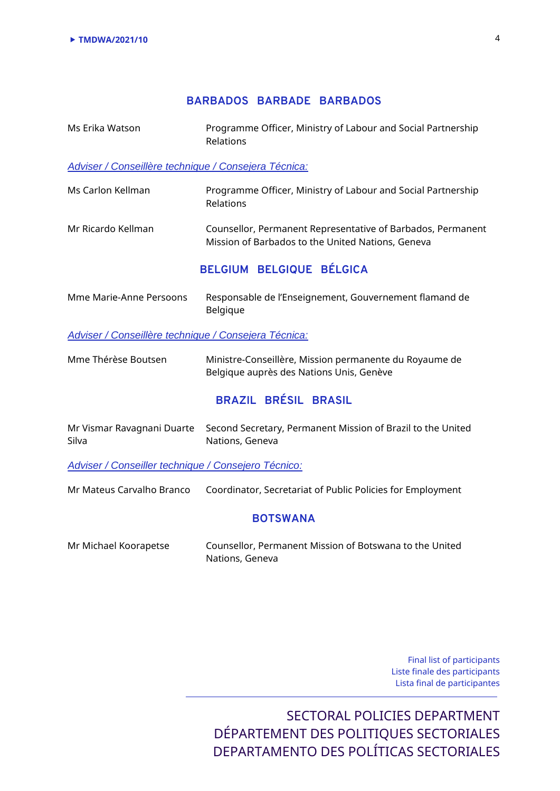### **BARBADOS BARBADE BARBADOS**

Ms Erika Watson Programme Officer, Ministry of Labour and Social Partnership Relations

*Adviser / Conseillère technique / Consejera Técnica:*

- Ms Carlon Kellman Programme Officer, Ministry of Labour and Social Partnership Relations
- Mr Ricardo Kellman Counsellor, Permanent Representative of Barbados, Permanent Mission of Barbados to the United Nations, Geneva

## **BELGIUM BELGIQUE BÉLGICA**

| Mme Marie-Anne Persoons | Responsable de l'Enseignement, Gouvernement flamand de |
|-------------------------|--------------------------------------------------------|
|                         | Belgique                                               |

*Adviser / Conseillère technique / Consejera Técnica:*

| Mme Thérèse Boutsen | Ministre-Conseillère, Mission permanente du Royaume de |
|---------------------|--------------------------------------------------------|
|                     | Belgique auprès des Nations Unis, Genève               |

## **BRAZIL BRÉSIL BRASIL**

|       | Mr Vismar Ravagnani Duarte Second Secretary, Permanent Mission of Brazil to the United |
|-------|----------------------------------------------------------------------------------------|
| Silva | Nations, Geneva                                                                        |

*Adviser / Conseiller technique / Consejero Técnico:*

Mr Mateus Carvalho Branco Coordinator, Secretariat of Public Policies for Employment

#### **BOTSWANA**

| Mr Michael Koorapetse | Counsellor, Permanent Mission of Botswana to the United |
|-----------------------|---------------------------------------------------------|
|                       | Nations, Geneva                                         |

Final list of participants Liste finale des participants Lista final de participantes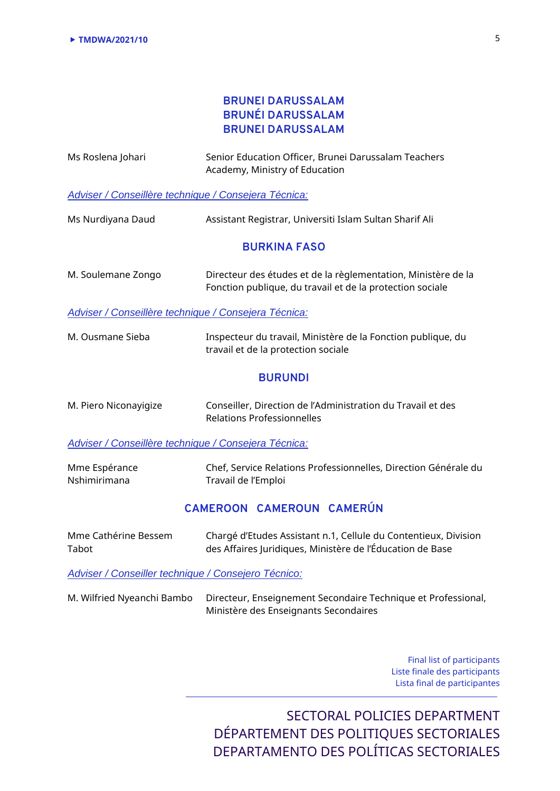## **BRUNEI DARUSSALAM BRUNÉI DARUSSALAM BRUNEI DARUSSALAM**

| Ms Roslena Johari                                    | Senior Education Officer, Brunei Darussalam Teachers<br>Academy, Ministry of Education                                       |
|------------------------------------------------------|------------------------------------------------------------------------------------------------------------------------------|
| Adviser / Conseillère technique / Consejera Técnica: |                                                                                                                              |
| Ms Nurdiyana Daud                                    | Assistant Registrar, Universiti Islam Sultan Sharif Ali                                                                      |
|                                                      | <b>BURKINA FASO</b>                                                                                                          |
| M. Soulemane Zongo                                   | Directeur des études et de la règlementation, Ministère de la<br>Fonction publique, du travail et de la protection sociale   |
| Adviser / Conseillère technique / Consejera Técnica: |                                                                                                                              |
| M. Ousmane Sieba                                     | Inspecteur du travail, Ministère de la Fonction publique, du<br>travail et de la protection sociale                          |
|                                                      | <b>BURUNDI</b>                                                                                                               |
| M. Piero Niconayigize                                | Conseiller, Direction de l'Administration du Travail et des<br><b>Relations Professionnelles</b>                             |
| Adviser / Conseillère technique / Consejera Técnica: |                                                                                                                              |
| Mme Espérance<br>Nshimirimana                        | Chef, Service Relations Professionnelles, Direction Générale du<br>Travail de l'Emploi                                       |
|                                                      | CAMEROON CAMEROUN CAMERÚN                                                                                                    |
| Mme Cathérine Bessem<br>Tabot                        | Chargé d'Etudes Assistant n.1, Cellule du Contentieux, Division<br>des Affaires Juridiques, Ministère de l'Éducation de Base |
| Adviser / Conseiller technique / Consejero Técnico:  |                                                                                                                              |
| M. Wilfried Nyeanchi Bambo                           | Directeur, Enseignement Secondaire Technique et Professional,<br>Ministère des Enseignants Secondaires                       |

Final list of participants Liste finale des participants Lista final de participantes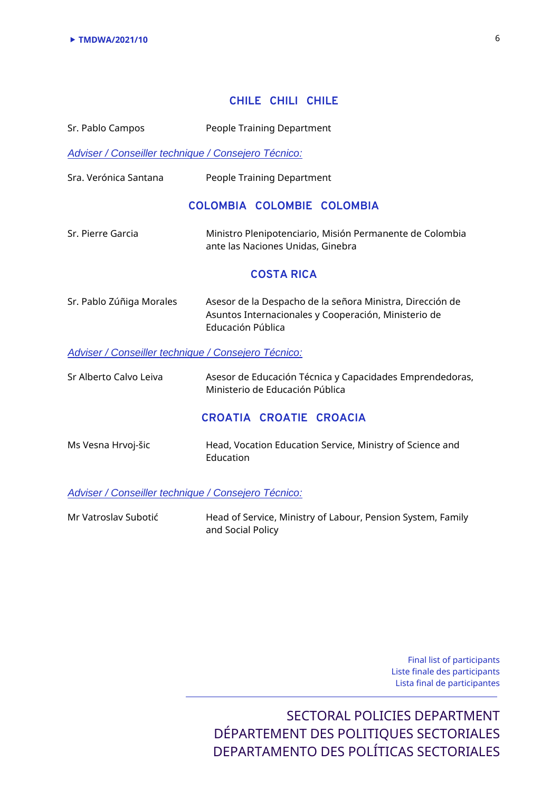## **CHILE CHILI CHILE**

| Sr. Pablo Campos                                    | People Training Department                                                                                                             |
|-----------------------------------------------------|----------------------------------------------------------------------------------------------------------------------------------------|
| Adviser / Conseiller technique / Consejero Técnico: |                                                                                                                                        |
| Sra. Verónica Santana                               | People Training Department                                                                                                             |
|                                                     | COLOMBIA COLOMBIE COLOMBIA                                                                                                             |
| Sr. Pierre Garcia                                   | Ministro Plenipotenciario, Misión Permanente de Colombia<br>ante las Naciones Unidas, Ginebra                                          |
|                                                     | <b>COSTA RICA</b>                                                                                                                      |
| Sr. Pablo Zúñiga Morales                            | Asesor de la Despacho de la señora Ministra, Dirección de<br>Asuntos Internacionales y Cooperación, Ministerio de<br>Educación Pública |
| Adviser / Conseiller technique / Consejero Técnico: |                                                                                                                                        |
| Sr Alberto Calvo Leiva                              | Asesor de Educación Técnica y Capacidades Emprendedoras,<br>Ministerio de Educación Pública                                            |
|                                                     | CROATIA CROATIE CROACIA                                                                                                                |
| Ms Vesna Hrvoj-šic                                  | Head, Vocation Education Service, Ministry of Science and<br>Education                                                                 |
| Adviser / Conseiller technique / Consejero Técnico: |                                                                                                                                        |
| Mr Vatroslav Subotić                                | Head of Service, Ministry of Labour, Pension System, Family<br>and Social Policy                                                       |
|                                                     |                                                                                                                                        |
|                                                     |                                                                                                                                        |
|                                                     |                                                                                                                                        |

Final list of participants Liste finale des participants Lista final de participantes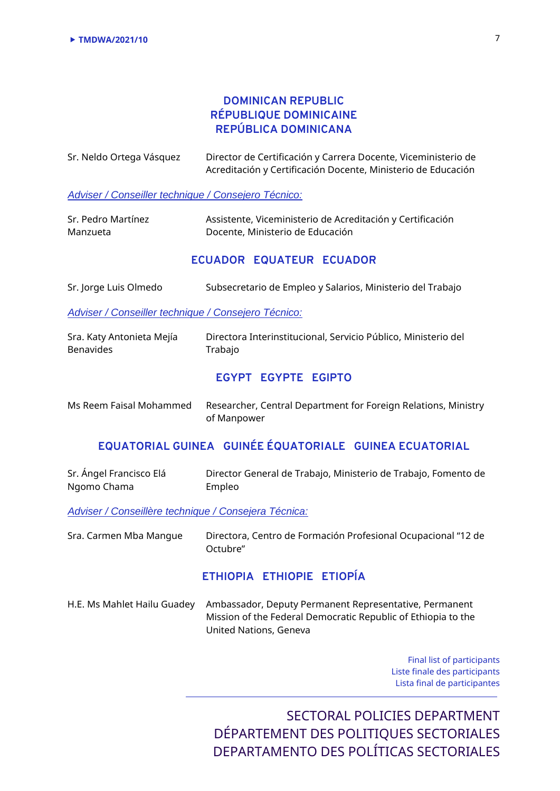### **DOMINICAN REPUBLIC RÉPUBLIQUE DOMINICAINE REPÚBLICA DOMINICANA**

| Sr. Neldo Ortega Vásquez                            | Director de Certificación y Carrera Docente, Viceministerio de<br>Acreditación y Certificación Docente, Ministerio de Educación |
|-----------------------------------------------------|---------------------------------------------------------------------------------------------------------------------------------|
| Adviser / Conseiller technique / Consejero Técnico: |                                                                                                                                 |
| Sr. Pedro Martínez<br>Manzueta                      | Assistente, Viceministerio de Acreditación y Certificación<br>Docente, Ministerio de Educación                                  |
|                                                     | ECUADOR EQUATEUR ECUADOR                                                                                                        |
| Sr. Jorge Luis Olmedo                               | Subsecretario de Empleo y Salarios, Ministerio del Trabajo                                                                      |
| Adviser / Conseiller technique / Consejero Técnico: |                                                                                                                                 |
| Sra. Katy Antonieta Mejía<br><b>Benavides</b>       | Directora Interinstitucional, Servicio Público, Ministerio del<br>Trabajo                                                       |
|                                                     | <b>EGYPT EGYPTE EGIPTO</b>                                                                                                      |
| Ms Reem Faisal Mohammed                             | Researcher, Central Department for Foreign Relations, Ministry<br>of Manpower                                                   |
|                                                     |                                                                                                                                 |

#### **EQUATORIAL GUINEA GUINÉE ÉQUATORIALE GUINEA ECUATORIAL**

| Sr. Ángel Francisco Elá |        | Director General de Trabajo, Ministerio de Trabajo, Fomento de |
|-------------------------|--------|----------------------------------------------------------------|
| Ngomo Chama             | Empleo |                                                                |

*Adviser / Conseillère technique / Consejera Técnica:*

Sra. Carmen Mba Mangue Directora, Centro de Formación Profesional Ocupacional "12 de Octubre"

## **ETHIOPIA ETHIOPIE ETIOPÍA**

H.E. Ms Mahlet Hailu Guadey Ambassador, Deputy Permanent Representative, Permanent Mission of the Federal Democratic Republic of Ethiopia to the United Nations, Geneva

> Final list of participants Liste finale des participants Lista final de participantes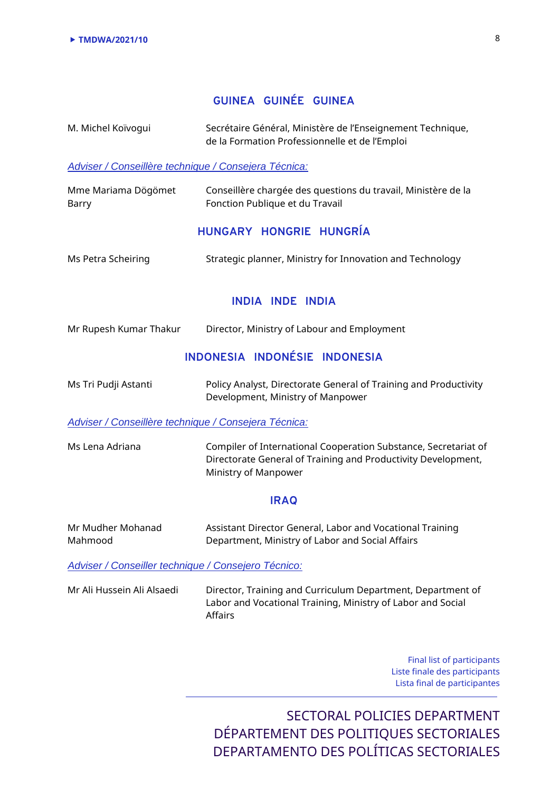## **GUINEA GUINÉE GUINEA**

M. Michel Koïvogui Secrétaire Général, Ministère de l'Enseignement Technique, de la Formation Professionnelle et de l'Emploi

#### *Adviser / Conseillère technique / Consejera Técnica:*

| Mme Mariama Dögömet | Conseillère chargée des questions du travail, Ministère de la |
|---------------------|---------------------------------------------------------------|
| Barry               | Fonction Publique et du Travail                               |

### **HUNGARY HONGRIE HUNGRÍA**

| Ms Petra Scheiring | Strategic planner, Ministry for Innovation and Technology |  |  |  |
|--------------------|-----------------------------------------------------------|--|--|--|
|--------------------|-----------------------------------------------------------|--|--|--|

### **INDIA INDE INDIA**

| Mr Rupesh Kumar Thakur | Director, Ministry of Labour and Employment |  |  |
|------------------------|---------------------------------------------|--|--|
|------------------------|---------------------------------------------|--|--|

## **INDONESIA INDONÉSIE INDONESIA**

| Ms Tri Pudji Astanti | Policy Analyst, Directorate General of Training and Productivity |
|----------------------|------------------------------------------------------------------|
|                      | Development, Ministry of Manpower                                |

#### *Adviser / Conseillère technique / Consejera Técnica:*

Ms Lena Adriana Compiler of International Cooperation Substance, Secretariat of Directorate General of Training and Productivity Development, Ministry of Manpower

#### **IRAQ**

| Mr Mudher Mohanad | Assistant Director General, Labor and Vocational Training |
|-------------------|-----------------------------------------------------------|
| Mahmood           | Department, Ministry of Labor and Social Affairs          |

*Adviser / Conseiller technique / Consejero Técnico:*

Mr Ali Hussein Ali Alsaedi Director, Training and Curriculum Department, Department of Labor and Vocational Training, Ministry of Labor and Social Affairs

> Final list of participants Liste finale des participants Lista final de participantes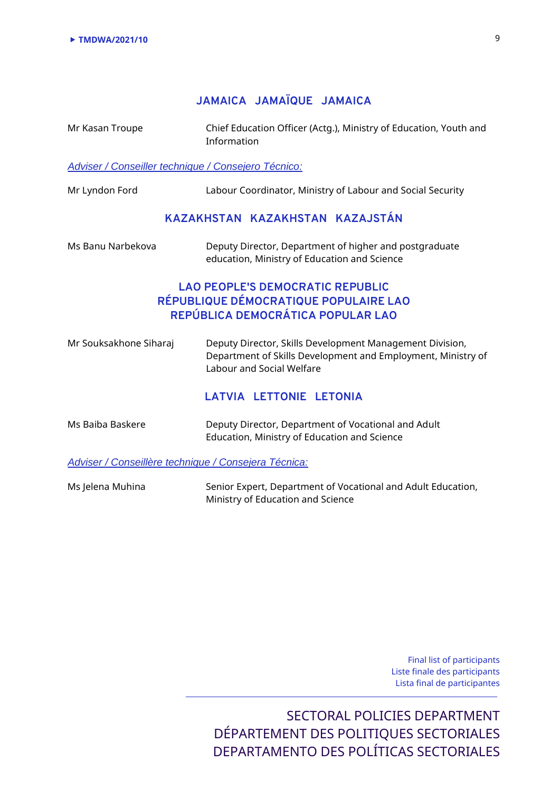## **JAMAICA JAMAÏQUE JAMAICA**

Mr Kasan Troupe Chief Education Officer (Actg.), Ministry of Education, Youth and Information

#### *Adviser / Conseiller technique / Consejero Técnico:*

Mr Lyndon Ford Labour Coordinator, Ministry of Labour and Social Security

#### **KAZAKHSTAN KAZAKHSTAN KAZAJSTÁN**

| Ms Banu Narbekova | Deputy Director, Department of higher and postgraduate |
|-------------------|--------------------------------------------------------|
|                   | education, Ministry of Education and Science           |

## **LAO PEOPLE'S DEMOCRATIC REPUBLIC RÉPUBLIQUE DÉMOCRATIQUE POPULAIRE LAO REPÚBLICA DEMOCRÁTICA POPULAR LAO**

| Mr Souksakhone Siharaj | Deputy Director, Skills Development Management Division,<br>Department of Skills Development and Employment, Ministry of<br>Labour and Social Welfare |
|------------------------|-------------------------------------------------------------------------------------------------------------------------------------------------------|
|                        | LATVIA LETTONIE LETONIA                                                                                                                               |

| Ms Baiba Baskere | Deputy Director, Department of Vocational and Adult |
|------------------|-----------------------------------------------------|
|                  | Education, Ministry of Education and Science        |

*Adviser / Conseillère technique / Consejera Técnica:*

Ms Jelena Muhina Senior Expert, Department of Vocational and Adult Education, Ministry of Education and Science

> Final list of participants Liste finale des participants Lista final de participantes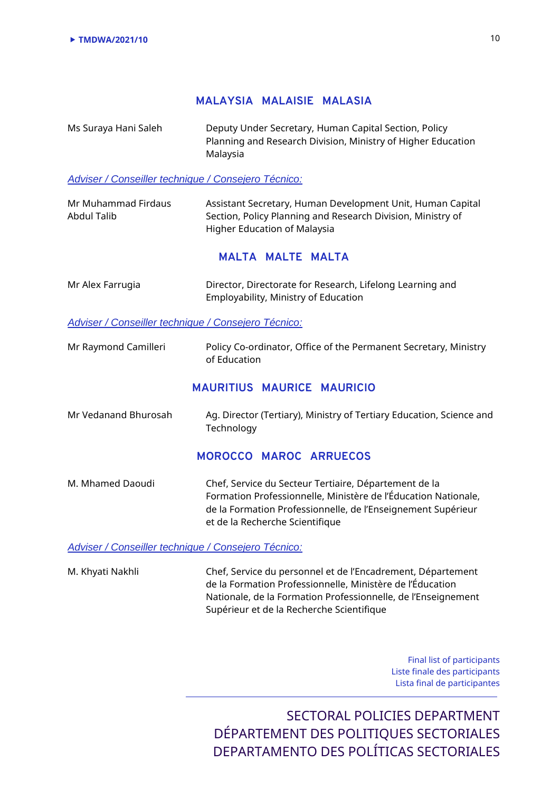### **MALAYSIA MALAISIE MALASIA**

Ms Suraya Hani Saleh Deputy Under Secretary, Human Capital Section, Policy Planning and Research Division, Ministry of Higher Education Malaysia

#### *Adviser / Conseiller technique / Consejero Técnico:*

Mr Muhammad Firdaus Abdul Talib Assistant Secretary, Human Development Unit, Human Capital Section, Policy Planning and Research Division, Ministry of Higher Education of Malaysia

#### **MALTA MALTE MALTA**

| Mr Alex Farrugia | Director, Directorate for Research, Lifelong Learning and |
|------------------|-----------------------------------------------------------|
|                  | Employability, Ministry of Education                      |

#### *Adviser / Conseiller technique / Consejero Técnico:*

Mr Raymond Camilleri Policy Co-ordinator, Office of the Permanent Secretary, Ministry of Education

#### **MAURITIUS MAURICE MAURICIO**

Mr Vedanand Bhurosah Ag. Director (Tertiary), Ministry of Tertiary Education, Science and **Technology** 

#### **MOROCCO MAROC ARRUECOS**

M. Mhamed Daoudi Chef, Service du Secteur Tertiaire, Département de la Formation Professionnelle, Ministère de l'Éducation Nationale, de la Formation Professionnelle, de l'Enseignement Supérieur et de la Recherche Scientifique

*Adviser / Conseiller technique / Consejero Técnico:*

M. Khyati Nakhli Chef, Service du personnel et de l'Encadrement, Département de la Formation Professionnelle, Ministère de l'Éducation Nationale, de la Formation Professionnelle, de l'Enseignement Supérieur et de la Recherche Scientifique

> Final list of participants Liste finale des participants Lista final de participantes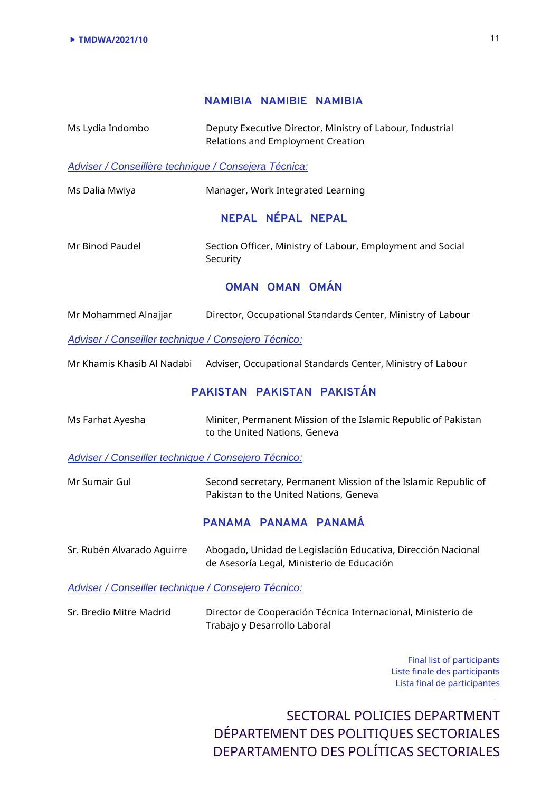### **NAMIBIA NAMIBIE NAMIBIA**

Ms Lydia Indombo Deputy Executive Director, Ministry of Labour, Industrial Relations and Employment Creation

#### *Adviser / Conseillère technique / Consejera Técnica:*

| Ms Dalia Mwiya | Manager, Work Integrated Learning |
|----------------|-----------------------------------|
|                | NEPAL NÉPAL NEPAL                 |

Mr Binod Paudel Section Officer, Ministry of Labour, Employment and Social Security

### **OMAN OMAN OMÁN**

| Mr Mohammed Alnajjar | Director, Occupational Standards Center, Ministry of Labour |  |
|----------------------|-------------------------------------------------------------|--|
|----------------------|-------------------------------------------------------------|--|

*Adviser / Conseiller technique / Consejero Técnico:*

Mr Khamis Khasib Al Nadabi Adviser, Occupational Standards Center, Ministry of Labour

## **PAKISTAN PAKISTAN PAKISTÁN**

| Ms Farhat Ayesha                                    | Miniter, Permanent Mission of the Islamic Republic of Pakistan<br>to the United Nations, Geneva            |
|-----------------------------------------------------|------------------------------------------------------------------------------------------------------------|
| Adviser / Conseiller technique / Consejero Técnico: |                                                                                                            |
| Mr Sumair Gul                                       | Second secretary, Permanent Mission of the Islamic Republic of<br>Pakistan to the United Nations, Geneva   |
|                                                     | PANAMA PANAMA PANAMÁ                                                                                       |
| Sr. Rubén Alvarado Aquirre                          | Abogado, Unidad de Legislación Educativa, Dirección Nacional<br>de Asesoría Legal, Ministerio de Educación |
| Adviser / Conseiller technique / Consejero Técnico: |                                                                                                            |
| Sr. Bredio Mitre Madrid                             | Director de Cooperación Técnica Internacional, Ministerio de                                               |

Trabajo y Desarrollo Laboral

Final list of participants Liste finale des participants Lista final de participantes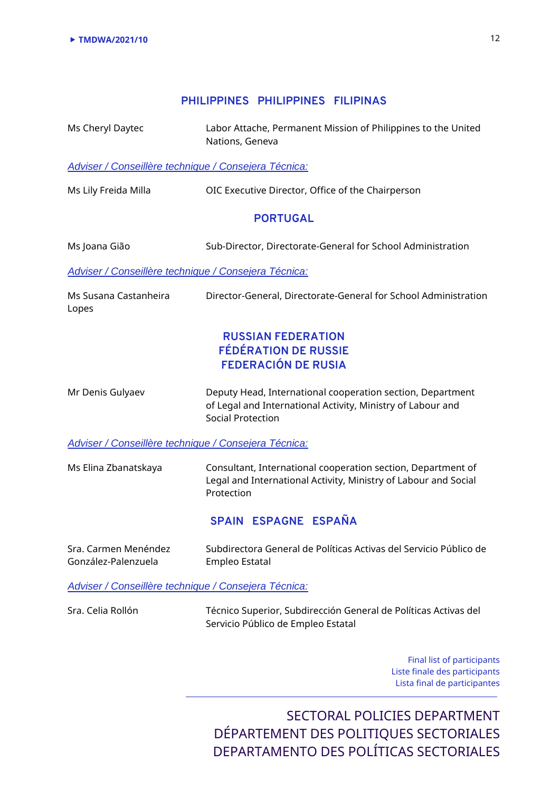### **PHILIPPINES PHILIPPINES FILIPINAS**

Ms Cheryl Daytec Labor Attache, Permanent Mission of Philippines to the United Nations, Geneva

*Adviser / Conseillère technique / Consejera Técnica:*

Ms Lily Freida Milla OIC Executive Director, Office of the Chairperson

#### **PORTUGAL**

Ms Joana Gião Sub-Director, Directorate-General for School Administration

*Adviser / Conseillère technique / Consejera Técnica:*

Ms Susana Castanheira Lopes Director-General, Directorate-General for School Administration

## **RUSSIAN FEDERATION FÉDÉRATION DE RUSSIE FEDERACIÓN DE RUSIA**

Mr Denis Gulyaev Deputy Head, International cooperation section, Department of Legal and International Activity, Ministry of Labour and Social Protection

*Adviser / Conseillère technique / Consejera Técnica:*

Ms Elina Zbanatskaya Consultant, International cooperation section, Department of Legal and International Activity, Ministry of Labour and Social Protection

### **SPAIN ESPAGNE ESPAÑA**

| Sra. Carmen Menéndez | Subdirectora General de Políticas Activas del Servicio Público de |
|----------------------|-------------------------------------------------------------------|
| González-Palenzuela  | Empleo Estatal                                                    |

*Adviser / Conseillère technique / Consejera Técnica:*

Sra. Celia Rollón Técnico Superior, Subdirección General de Políticas Activas del Servicio Público de Empleo Estatal

> Final list of participants Liste finale des participants Lista final de participantes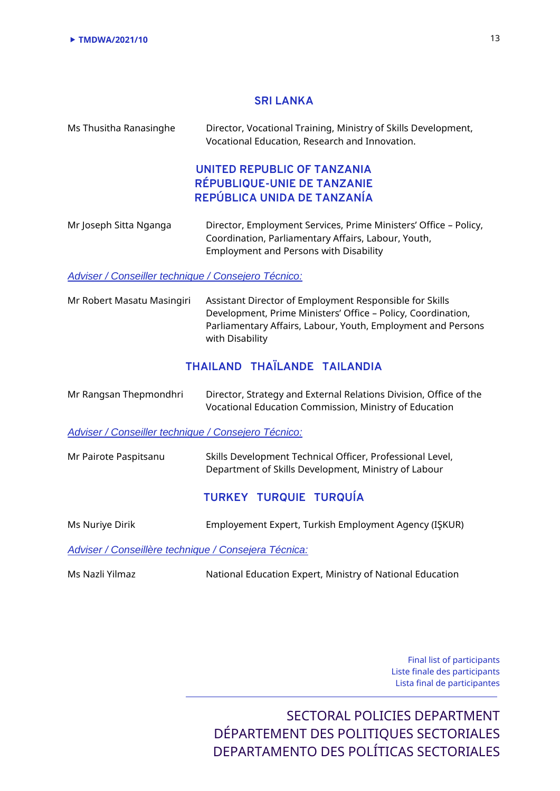#### **SRI LANKA**

| Ms Thusitha Ranasinghe | Director, Vocational Training, Ministry of Skills Development,<br>Vocational Education, Research and Innovation.                                                         |
|------------------------|--------------------------------------------------------------------------------------------------------------------------------------------------------------------------|
|                        | UNITED REPUBLIC OF TANZANIA<br>RÉPUBLIQUE-UNIE DE TANZANIE<br>REPÚBLICA UNIDA DE TANZANÍA                                                                                |
| Mr Joseph Sitta Nganga | Director, Employment Services, Prime Ministers' Office - Policy,<br>Coordination, Parliamentary Affairs, Labour, Youth,<br><b>Employment and Persons with Disability</b> |

#### *Adviser / Conseiller technique / Consejero Técnico:*

Mr Robert Masatu Masingiri Assistant Director of Employment Responsible for Skills Development, Prime Ministers' Office – Policy, Coordination, Parliamentary Affairs, Labour, Youth, Employment and Persons with Disability

## **THAILAND THAÏLANDE TAILANDIA**

| Mr Rangsan Thepmondhri | Director, Strategy and External Relations Division, Office of the |  |
|------------------------|-------------------------------------------------------------------|--|
|                        | Vocational Education Commission, Ministry of Education            |  |

#### *Adviser / Conseiller technique / Consejero Técnico:*

Mr Pairote Paspitsanu Skills Development Technical Officer, Professional Level, Department of Skills Development, Ministry of Labour

#### **TURKEY TURQUIE TURQUÍA**

Ms Nuriye Dirik Employement Expert, Turkish Employment Agency (IŞKUR)

*Adviser / Conseillère technique / Consejera Técnica:*

Ms Nazli Yilmaz National Education Expert, Ministry of National Education

Final list of participants Liste finale des participants Lista final de participantes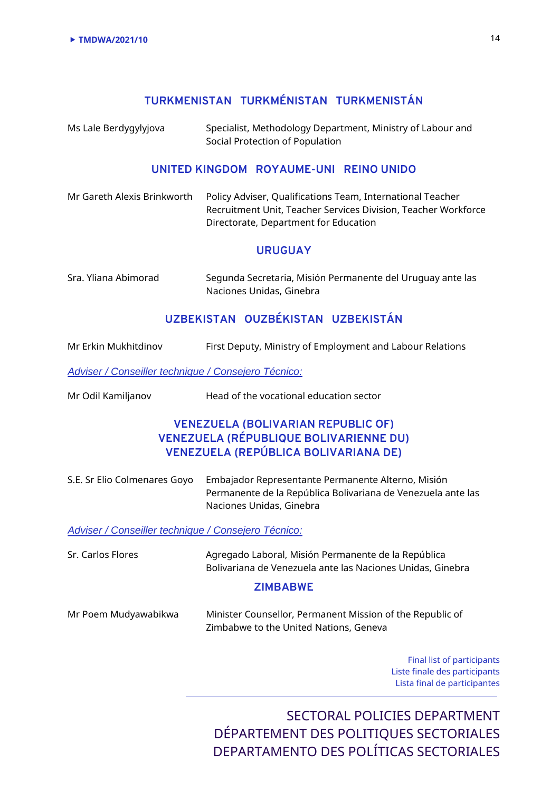## **TURKMENISTAN TURKMÉNISTAN TURKMENISTÁN**

Ms Lale Berdygylyjova Specialist, Methodology Department, Ministry of Labour and Social Protection of Population

#### **UNITED KINGDOM ROYAUME-UNI REINO UNIDO**

| Mr Gareth Alexis Brinkworth | Policy Adviser, Qualifications Team, International Teacher     |
|-----------------------------|----------------------------------------------------------------|
|                             | Recruitment Unit, Teacher Services Division, Teacher Workforce |
|                             | Directorate, Department for Education                          |

#### **URUGUAY**

| Sra. Yliana Abimorad | Segunda Secretaria, Misión Permanente del Uruguay ante las |
|----------------------|------------------------------------------------------------|
|                      | Naciones Unidas, Ginebra                                   |

## **UZBEKISTAN OUZBÉKISTAN UZBEKISTÁN**

| Mr Erkin Mukhitdinov                                       | First Deputy, Ministry of Employment and Labour Relations                                                                                      |
|------------------------------------------------------------|------------------------------------------------------------------------------------------------------------------------------------------------|
| <b>Adviser / Conseiller technique / Consejero Técnico:</b> |                                                                                                                                                |
| Mr Odil Kamiljanov                                         | Head of the vocational education sector                                                                                                        |
|                                                            | <b>VENEZUELA (BOLIVARIAN REPUBLIC OF)</b><br><b>VENEZUELA (RÉPUBLIQUE BOLIVARIENNE DU)</b><br><b>VENEZUELA (REPÚBLICA BOLIVARIANA DE)</b>      |
| S.E. Sr Elio Colmenares Goyo                               | Embajador Representante Permanente Alterno, Misión<br>Permanente de la República Bolivariana de Venezuela ante las<br>Naciones Unidas, Ginebra |
| <b>Adviser / Conseiller technique / Consejero Técnico:</b> |                                                                                                                                                |
| Sr. Carlos Flores                                          | Agregado Laboral, Misión Permanente de la República<br>Bolivariana de Venezuela ante las Naciones Unidas, Ginebra                              |
|                                                            | <b>ZIMBABWE</b>                                                                                                                                |
| Mr Poem Mudyawabikwa                                       | Minister Counsellor, Permanent Mission of the Republic of<br>Zimbabwe to the United Nations, Geneva                                            |
|                                                            | Final list of participants<br>Liste finale des participants<br>Lista final de participantes                                                    |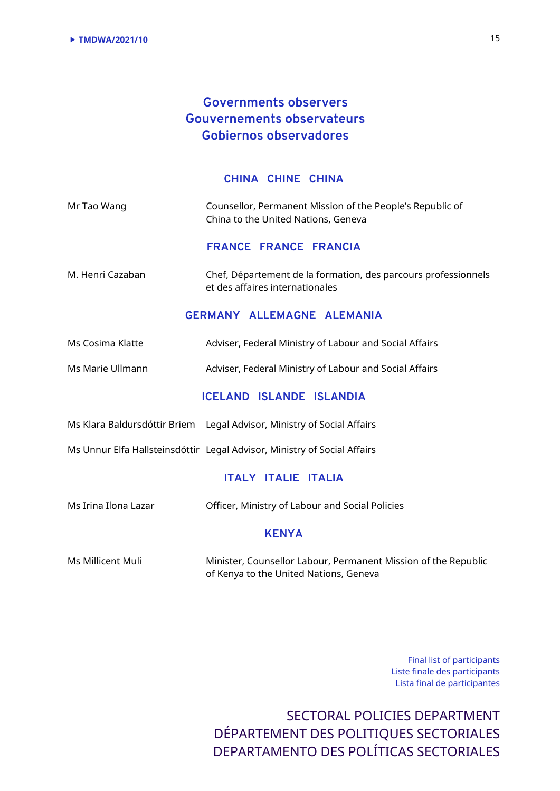# **Governments observers Gouvernements observateurs Gobiernos observadores**

#### **CHINA CHINE CHINA**

| Mr Tao Wang | Counsellor, Permanent Mission of the People's Republic of |
|-------------|-----------------------------------------------------------|
|             | China to the United Nations, Geneva                       |

**FRANCE FRANCE FRANCIA**

M. Henri Cazaban Chef, Département de la formation, des parcours professionnels et des affaires internationales

### **GERMANY ALLEMAGNE ALEMANIA**

- Ms Cosima Klatte Adviser, Federal Ministry of Labour and Social Affairs
- Ms Marie Ullmann Adviser, Federal Ministry of Labour and Social Affairs

### **ICELAND ISLANDE ISLANDIA**

Ms Klara Baldursdóttir Briem Legal Advisor, Ministry of Social Affairs

Ms Unnur Elfa Hallsteinsdóttir Legal Advisor, Ministry of Social Affairs

#### **ITALY ITALIE ITALIA**

Ms Irina Ilona Lazar Officer, Ministry of Labour and Social Policies

#### **KENYA**

Ms Millicent Muli Minister, Counsellor Labour, Permanent Mission of the Republic of Kenya to the United Nations, Geneva

> Final list of participants Liste finale des participants Lista final de participantes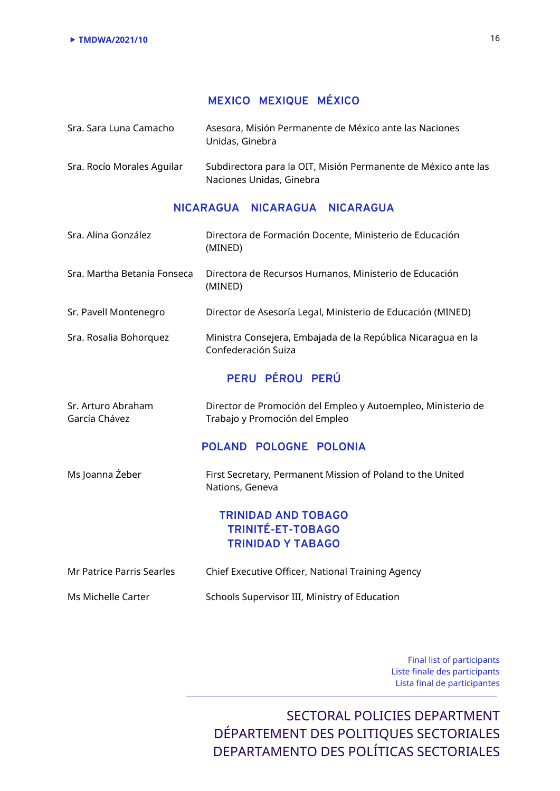# **MEXICO MEXIQUE MÉXICO**

| Sra. Sara Luna Camacho     | Asesora, Misión Permanente de México ante las Naciones<br>Unidas, Ginebra |
|----------------------------|---------------------------------------------------------------------------|
| Sra. Rocío Morales Aguilar | Subdirectora para la OIT, Misión Permanente de México ante las            |

Naciones Unidas, Ginebra

### **NICARAGUA NICARAGUA NICARAGUA**

| Sra. Alina González                 | Directora de Formación Docente, Ministerio de Educación<br>(MINED)                             |
|-------------------------------------|------------------------------------------------------------------------------------------------|
| Sra. Martha Betania Fonseca         | Directora de Recursos Humanos, Ministerio de Educación<br>(MINED)                              |
| Sr. Pavell Montenegro               | Director de Asesoría Legal, Ministerio de Educación (MINED)                                    |
| Sra. Rosalia Bohorquez              | Ministra Consejera, Embajada de la República Nicaragua en la<br>Confederación Suiza            |
|                                     | PERU PÉROU PERÚ                                                                                |
| Sr. Arturo Abraham<br>García Chávez | Director de Promoción del Empleo y Autoempleo, Ministerio de<br>Trabajo y Promoción del Empleo |
|                                     | POLAND POLOGNE POLONIA                                                                         |
| Ms Joanna Żeber                     | First Secretary, Permanent Mission of Poland to the United<br>Nations, Geneva                  |
|                                     | <b>TRINIDAD AND TOBAGO</b><br><b>TRINITÉ-ET-TOBAGO</b><br><b>TRINIDAD Y TABAGO</b>             |
| <b>Mr Patrice Parris Searles</b>    | Chief Executive Officer, National Training Agency                                              |
| Ms Michelle Carter                  | Schools Supervisor III, Ministry of Education                                                  |

Final list of participants Liste finale des participants Lista final de participantes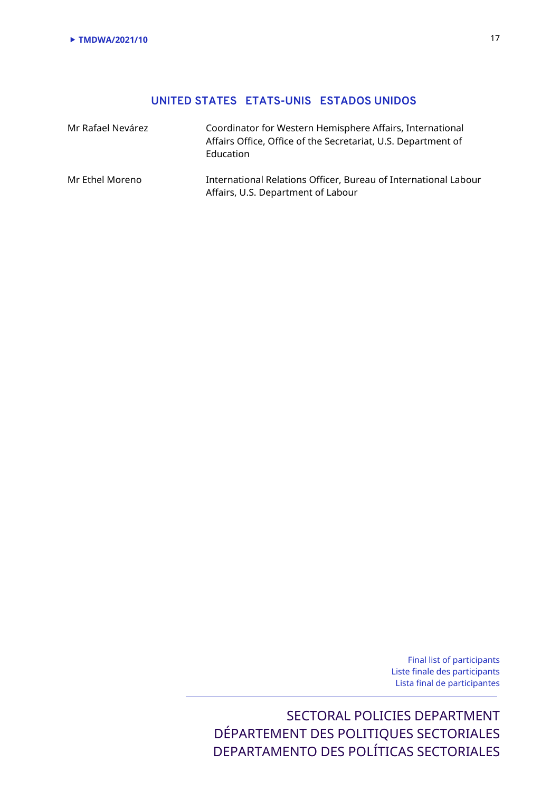# **UNITED STATES ETATS-UNIS ESTADOS UNIDOS**

| Mr Rafael Nevárez | Coordinator for Western Hemisphere Affairs, International<br>Affairs Office, Office of the Secretariat, U.S. Department of<br>Education |
|-------------------|-----------------------------------------------------------------------------------------------------------------------------------------|
| Mr Ethel Moreno   | International Relations Officer, Bureau of International Labour<br>Affairs, U.S. Department of Labour                                   |

Final list of participants Liste finale des participants Lista final de participantes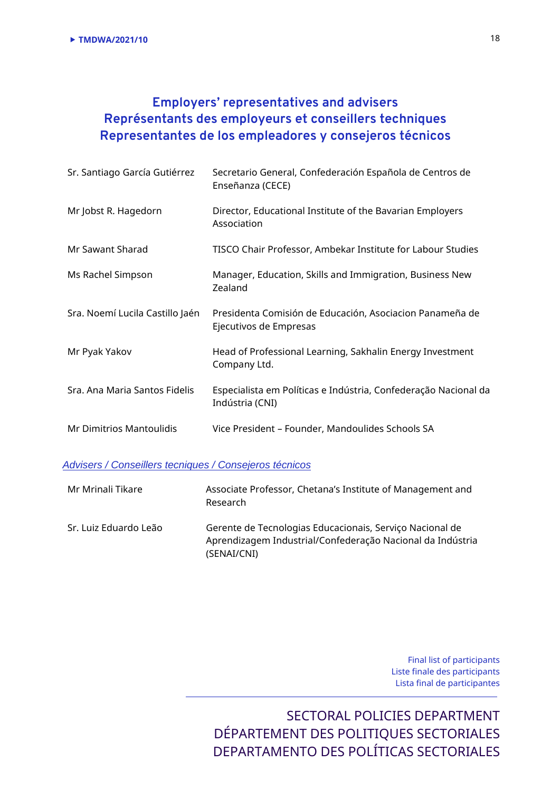# **Employers' representatives and advisers Représentants des employeurs et conseillers techniques Representantes de los empleadores y consejeros técnicos**

| Sr. Santiago García Gutiérrez   | Secretario General, Confederación Española de Centros de<br>Enseñanza (CECE)       |
|---------------------------------|------------------------------------------------------------------------------------|
| Mr Jobst R. Hagedorn            | Director, Educational Institute of the Bavarian Employers<br>Association           |
| Mr Sawant Sharad                | TISCO Chair Professor, Ambekar Institute for Labour Studies                        |
| Ms Rachel Simpson               | Manager, Education, Skills and Immigration, Business New<br>Zealand                |
| Sra. Noemí Lucila Castillo Jaén | Presidenta Comisión de Educación, Asociacion Panameña de<br>Ejecutivos de Empresas |
| Mr Pyak Yakov                   | Head of Professional Learning, Sakhalin Energy Investment<br>Company Ltd.          |
| Sra. Ana Maria Santos Fidelis   | Especialista em Políticas e Indústria, Confederação Nacional da<br>Indústria (CNI) |
| <b>Mr Dimitrios Mantoulidis</b> | Vice President - Founder, Mandoulides Schools SA                                   |

### *Advisers / Conseillers tecniques / Consejeros técnicos*

| Mr Mrinali Tikare     | Associate Professor, Chetana's Institute of Management and<br>Research                                                                |
|-----------------------|---------------------------------------------------------------------------------------------------------------------------------------|
| Sr. Luiz Eduardo Leão | Gerente de Tecnologias Educacionais, Serviço Nacional de<br>Aprendizagem Industrial/Confederação Nacional da Indústria<br>(SENAI/CNI) |

Final list of participants Liste finale des participants Lista final de participantes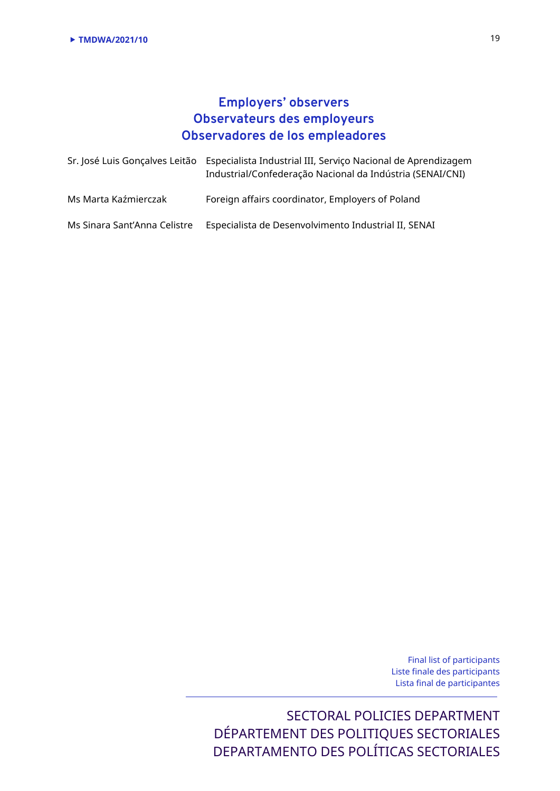# **Employers' observers Observateurs des employeurs Observadores de los empleadores**

|                              | Sr. José Luis Gonçalves Leitão Especialista Industrial III, Serviço Nacional de Aprendizagem<br>Industrial/Confederação Nacional da Indústria (SENAI/CNI) |
|------------------------------|-----------------------------------------------------------------------------------------------------------------------------------------------------------|
| Ms Marta Kaźmierczak         | Foreign affairs coordinator, Employers of Poland                                                                                                          |
| Ms Sinara Sant'Anna Celistre | Especialista de Desenvolvimento Industrial II, SENAI                                                                                                      |

Final list of participants Liste finale des participants Lista final de participantes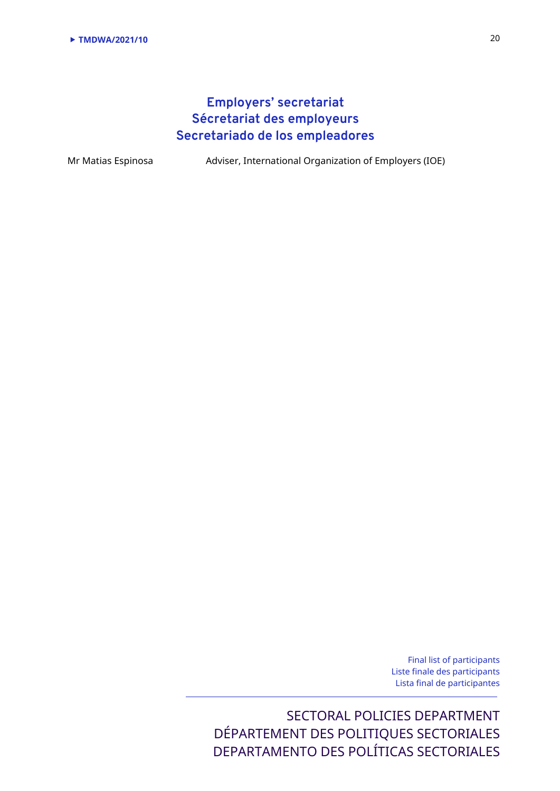# **Employers' secretariat Sécretariat des employeurs Secretariado de los empleadores**

Mr Matias Espinosa Adviser, International Organization of Employers (IOE)

Final list of participants Liste finale des participants Lista final de participantes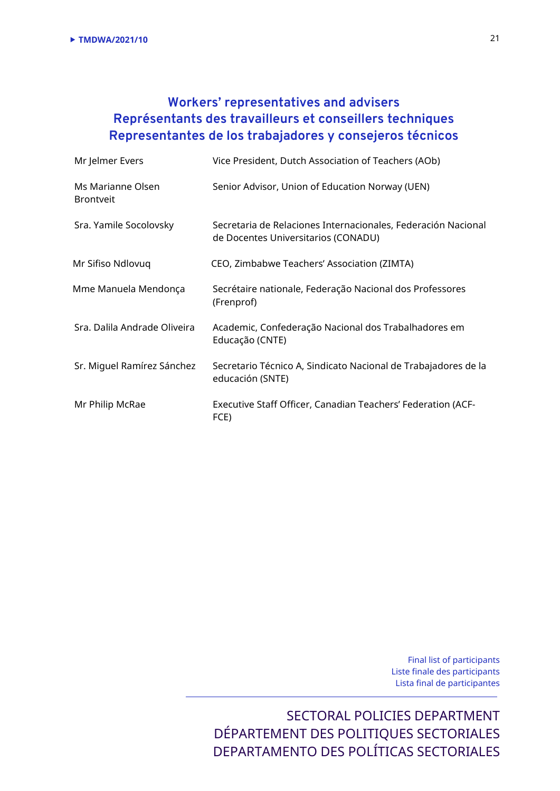# **Workers' representatives and advisers Représentants des travailleurs et conseillers techniques Representantes de los trabajadores y consejeros técnicos**

| Mr Jelmer Evers                       | Vice President, Dutch Association of Teachers (AOb)                                                  |
|---------------------------------------|------------------------------------------------------------------------------------------------------|
| Ms Marianne Olsen<br><b>Brontveit</b> | Senior Advisor, Union of Education Norway (UEN)                                                      |
| Sra. Yamile Socolovsky                | Secretaria de Relaciones Internacionales, Federación Nacional<br>de Docentes Universitarios (CONADU) |
| Mr Sifiso Ndlovuq                     | CEO, Zimbabwe Teachers' Association (ZIMTA)                                                          |
| Mme Manuela Mendonça                  | Secrétaire nationale, Federação Nacional dos Professores<br>(Frenprof)                               |
| Sra. Dalila Andrade Oliveira          | Academic, Confederação Nacional dos Trabalhadores em<br>Educação (CNTE)                              |
| Sr. Miguel Ramírez Sánchez            | Secretario Técnico A, Sindicato Nacional de Trabajadores de la<br>educación (SNTE)                   |
| Mr Philip McRae                       | Executive Staff Officer, Canadian Teachers' Federation (ACF-<br>FCE)                                 |

Final list of participants Liste finale des participants Lista final de participantes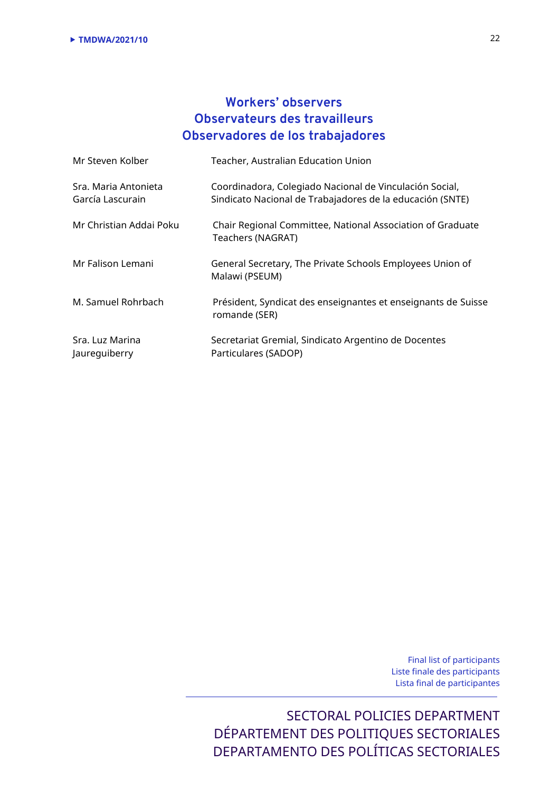# **Workers' observers Observateurs des travailleurs Observadores de los trabajadores**

| Mr Steven Kolber                         | Teacher, Australian Education Union                                                                                  |
|------------------------------------------|----------------------------------------------------------------------------------------------------------------------|
| Sra. Maria Antonieta<br>García Lascurain | Coordinadora, Colegiado Nacional de Vinculación Social,<br>Sindicato Nacional de Trabajadores de la educación (SNTE) |
| Mr Christian Addai Poku                  | Chair Regional Committee, National Association of Graduate<br>Teachers (NAGRAT)                                      |
| Mr Falison Lemani                        | General Secretary, The Private Schools Employees Union of<br>Malawi (PSEUM)                                          |
| M. Samuel Rohrbach                       | Président, Syndicat des enseignantes et enseignants de Suisse<br>romande (SER)                                       |
| Sra. Luz Marina<br>Jaureguiberry         | Secretariat Gremial, Sindicato Argentino de Docentes<br>Particulares (SADOP)                                         |

Final list of participants Liste finale des participants Lista final de participantes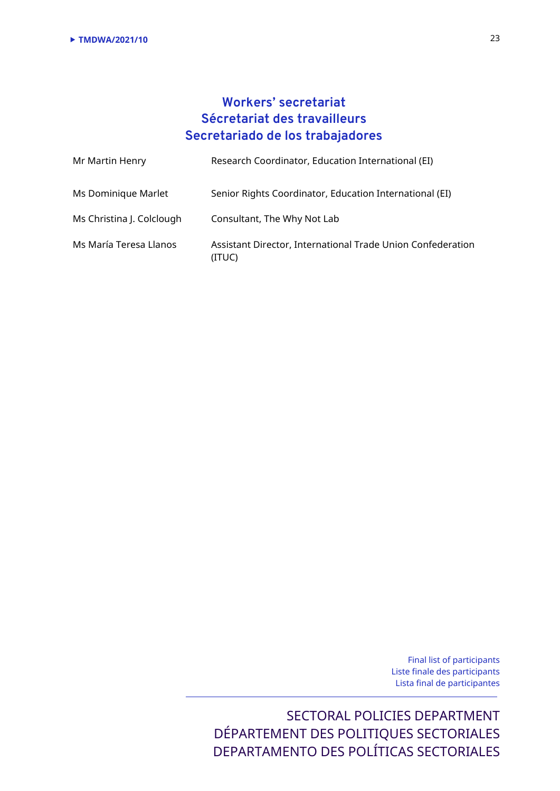# **Workers' secretariat Sécretariat des travailleurs Secretariado de los trabajadores**

| Mr Martin Henry           | Research Coordinator, Education International (EI)                    |
|---------------------------|-----------------------------------------------------------------------|
| Ms Dominique Marlet       | Senior Rights Coordinator, Education International (EI)               |
| Ms Christina J. Colclough | Consultant, The Why Not Lab                                           |
| Ms María Teresa Llanos    | Assistant Director, International Trade Union Confederation<br>(ITUC) |

Final list of participants Liste finale des participants Lista final de participantes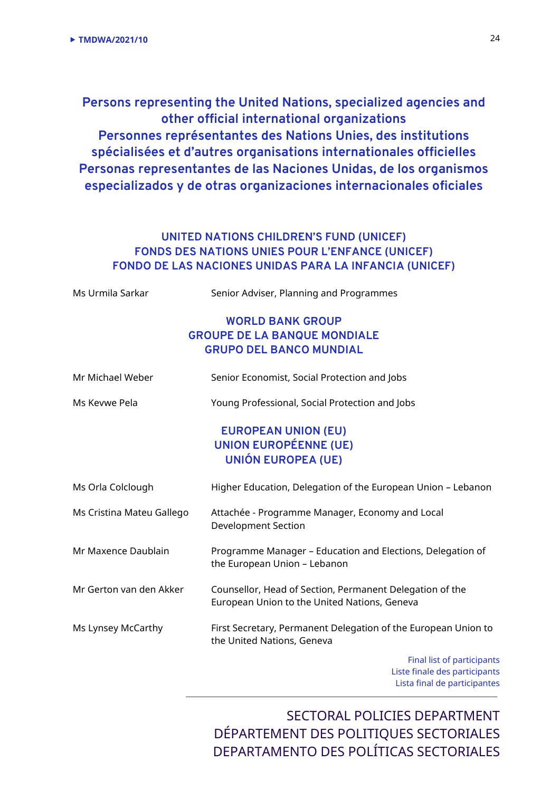**Persons representing the United Nations, specialized agencies and other official international organizations Personnes représentantes des Nations Unies, des institutions spécialisées et d'autres organisations internationales officielles Personas representantes de las Naciones Unidas, de los organismos especializados y de otras organizaciones internacionales oficiales**

## **UNITED NATIONS CHILDREN'S FUND (UNICEF) FONDS DES NATIONS UNIES POUR L'ENFANCE (UNICEF) FONDO DE LAS NACIONES UNIDAS PARA LA INFANCIA (UNICEF)**

| Ms Urmila Sarkar          | Senior Adviser, Planning and Programmes                                                                  |
|---------------------------|----------------------------------------------------------------------------------------------------------|
|                           | <b>WORLD BANK GROUP</b>                                                                                  |
|                           | <b>GROUPE DE LA BANQUE MONDIALE</b>                                                                      |
|                           | <b>GRUPO DEL BANCO MUNDIAL</b>                                                                           |
| Mr Michael Weber          | Senior Economist, Social Protection and Jobs                                                             |
| Ms Kevwe Pela             | Young Professional, Social Protection and Jobs                                                           |
|                           | <b>EUROPEAN UNION (EU)</b>                                                                               |
|                           | <b>UNION EUROPÉENNE (UE)</b>                                                                             |
|                           | <b>UNIÓN EUROPEA (UE)</b>                                                                                |
| Ms Orla Colclough         | Higher Education, Delegation of the European Union - Lebanon                                             |
| Ms Cristina Mateu Gallego | Attachée - Programme Manager, Economy and Local<br><b>Development Section</b>                            |
| Mr Maxence Daublain       | Programme Manager - Education and Elections, Delegation of<br>the European Union - Lebanon               |
| Mr Gerton van den Akker   | Counsellor, Head of Section, Permanent Delegation of the<br>European Union to the United Nations, Geneva |
| Ms Lynsey McCarthy        | First Secretary, Permanent Delegation of the European Union to<br>the United Nations, Geneva             |
|                           | Final list of participants                                                                               |
|                           | Lista finale des nartisinants                                                                            |

 Liste finale des participants Lista final de participantes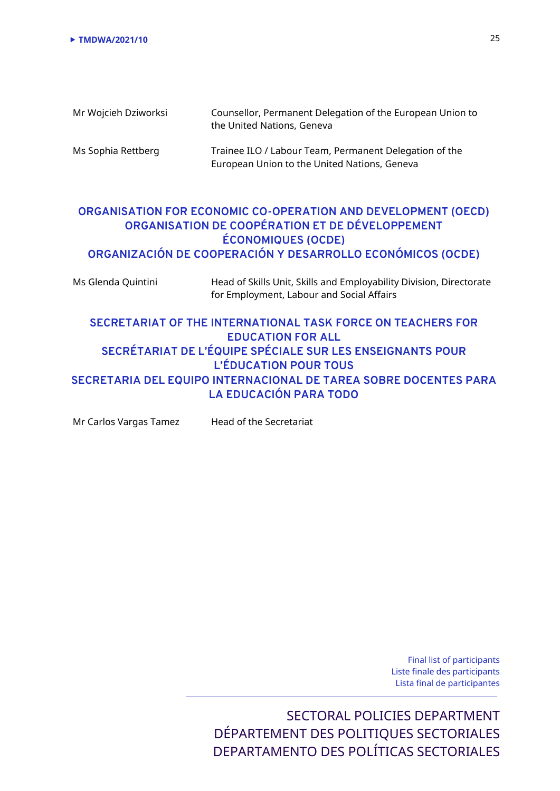| Mr Wojcieh Dziworksi | Counsellor, Permanent Delegation of the European Union to<br>the United Nations, Geneva                |
|----------------------|--------------------------------------------------------------------------------------------------------|
| Ms Sophia Rettberg   | Trainee ILO / Labour Team, Permanent Delegation of the<br>European Union to the United Nations, Geneva |

## **ORGANISATION FOR ECONOMIC CO-OPERATION AND DEVELOPMENT (OECD) ORGANISATION DE COOPÉRATION ET DE DÉVELOPPEMENT ÉCONOMIQUES (OCDE) ORGANIZACIÓN DE COOPERACIÓN Y DESARROLLO ECONÓMICOS (OCDE)**

| Ms Glenda Quintini | Head of Skills Unit, Skills and Employability Division, Directorate<br>for Employment, Labour and Social Affairs |
|--------------------|------------------------------------------------------------------------------------------------------------------|
|                    | SECRETARIAT OF THE INTERNATIONAL TASK FORCE ON TEACHERS FOR<br><b>EDUCATION FOR ALL</b>                          |
|                    |                                                                                                                  |
|                    | SECRÉTARIAT DE L'ÉQUIPE SPÉCIALE SUR LES ENSEIGNANTS POUR                                                        |
|                    | <b>L'ÉDUCATION POUR TOUS</b>                                                                                     |

**SECRETARIA DEL EQUIPO INTERNACIONAL DE TAREA SOBRE DOCENTES PARA LA EDUCACIÓN PARA TODO**

Mr Carlos Vargas Tamez Head of the Secretariat

Final list of participants Liste finale des participants Lista final de participantes